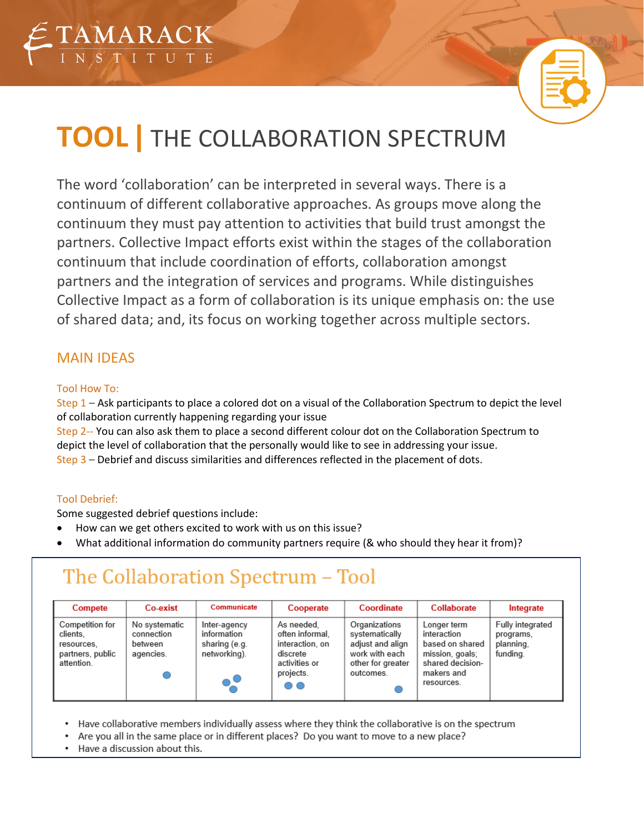



# **TOOL|** THE COLLABORATION SPECTRUM

The word 'collaboration' can be interpreted in several ways. There is a continuum of different collaborative approaches. As groups move along the continuum they must pay attention to activities that build trust amongst the partners. Collective Impact efforts exist within the stages of the collaboration continuum that include coordination of efforts, collaboration amongst partners and the integration of services and programs. While distinguishes Collective Impact as a form of collaboration is its unique emphasis on: the use of shared data; and, its focus on working together across multiple sectors.

### MAIN IDEAS

#### Tool How To:

Step 1 – Ask participants to place a colored dot on a visual of the Collaboration Spectrum to depict the level of collaboration currently happening regarding your issue

Step 2-- You can also ask them to place a second different colour dot on the Collaboration Spectrum to depict the level of collaboration that the personally would like to see in addressing your issue. Step 3 – Debrief and discuss similarities and differences reflected in the placement of dots.

#### Tool Debrief:

Some suggested debrief questions include:

- How can we get others excited to work with us on this issue?
- What additional information do community partners require (& who should they hear it from)?

## The Collaboration Spectrum - Tool

| Compete                                                                     | Co-exist                                            | Communicate                                                  | Cooperate                                                                                        | Coordinate                                                                                              | Collaborate                                                                                                      | Integrate                                              |
|-----------------------------------------------------------------------------|-----------------------------------------------------|--------------------------------------------------------------|--------------------------------------------------------------------------------------------------|---------------------------------------------------------------------------------------------------------|------------------------------------------------------------------------------------------------------------------|--------------------------------------------------------|
| Competition for<br>clients.<br>resources.<br>partners, public<br>attention. | No systematic<br>connection<br>between<br>agencies. | Inter-agency<br>information<br>sharing (e.g.<br>networking). | As needed.<br>often informal.<br>interaction, on<br>discrete<br>activities or<br>projects.<br>00 | Organizations<br>systematically<br>adjust and align<br>work with each<br>other for greater<br>outcomes. | Longer term<br>interaction<br>based on shared<br>mission, goals;<br>shared decision-<br>makers and<br>resources. | Fully integrated<br>programs,<br>planning.<br>funding. |

Have collaborative members individually assess where they think the collaborative is on the spectrum

- Are you all in the same place or in different places? Do you want to move to a new place?
- Have a discussion about this.